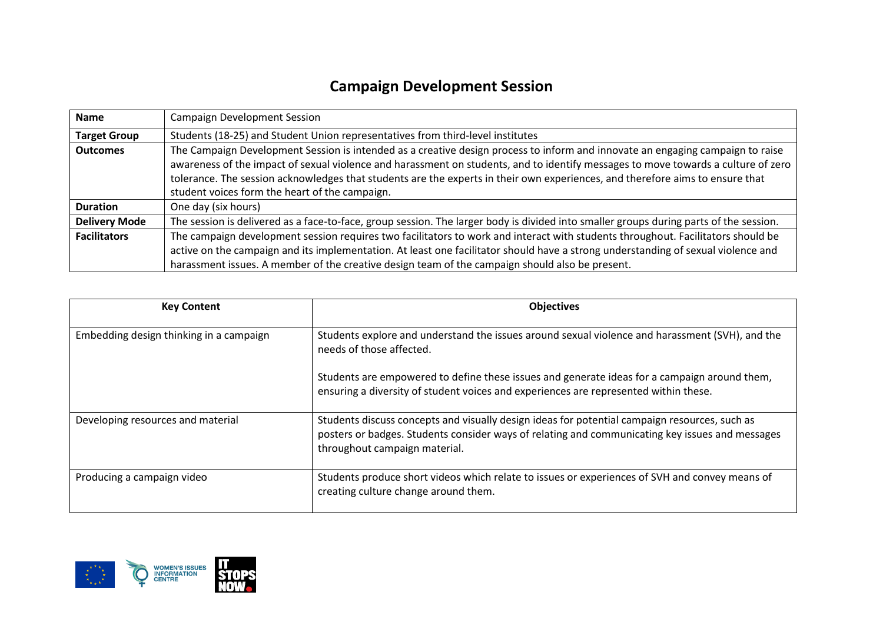## **Campaign Development Session**

| <b>Name</b>          | <b>Campaign Development Session</b>                                                                                                                                                                                                                                                                                                                                                                                                                    |  |  |
|----------------------|--------------------------------------------------------------------------------------------------------------------------------------------------------------------------------------------------------------------------------------------------------------------------------------------------------------------------------------------------------------------------------------------------------------------------------------------------------|--|--|
| <b>Target Group</b>  | Students (18-25) and Student Union representatives from third-level institutes                                                                                                                                                                                                                                                                                                                                                                         |  |  |
| <b>Outcomes</b>      | The Campaign Development Session is intended as a creative design process to inform and innovate an engaging campaign to raise<br>awareness of the impact of sexual violence and harassment on students, and to identify messages to move towards a culture of zero<br>tolerance. The session acknowledges that students are the experts in their own experiences, and therefore aims to ensure that<br>student voices form the heart of the campaign. |  |  |
| <b>Duration</b>      | One day (six hours)                                                                                                                                                                                                                                                                                                                                                                                                                                    |  |  |
| <b>Delivery Mode</b> | The session is delivered as a face-to-face, group session. The larger body is divided into smaller groups during parts of the session.                                                                                                                                                                                                                                                                                                                 |  |  |
| <b>Facilitators</b>  | The campaign development session requires two facilitators to work and interact with students throughout. Facilitators should be<br>active on the campaign and its implementation. At least one facilitator should have a strong understanding of sexual violence and<br>harassment issues. A member of the creative design team of the campaign should also be present.                                                                               |  |  |

| <b>Key Content</b>                      | <b>Objectives</b>                                                                                                                                                                                                                 |
|-----------------------------------------|-----------------------------------------------------------------------------------------------------------------------------------------------------------------------------------------------------------------------------------|
| Embedding design thinking in a campaign | Students explore and understand the issues around sexual violence and harassment (SVH), and the<br>needs of those affected.                                                                                                       |
|                                         | Students are empowered to define these issues and generate ideas for a campaign around them,<br>ensuring a diversity of student voices and experiences are represented within these.                                              |
| Developing resources and material       | Students discuss concepts and visually design ideas for potential campaign resources, such as<br>posters or badges. Students consider ways of relating and communicating key issues and messages<br>throughout campaign material. |
| Producing a campaign video              | Students produce short videos which relate to issues or experiences of SVH and convey means of<br>creating culture change around them.                                                                                            |

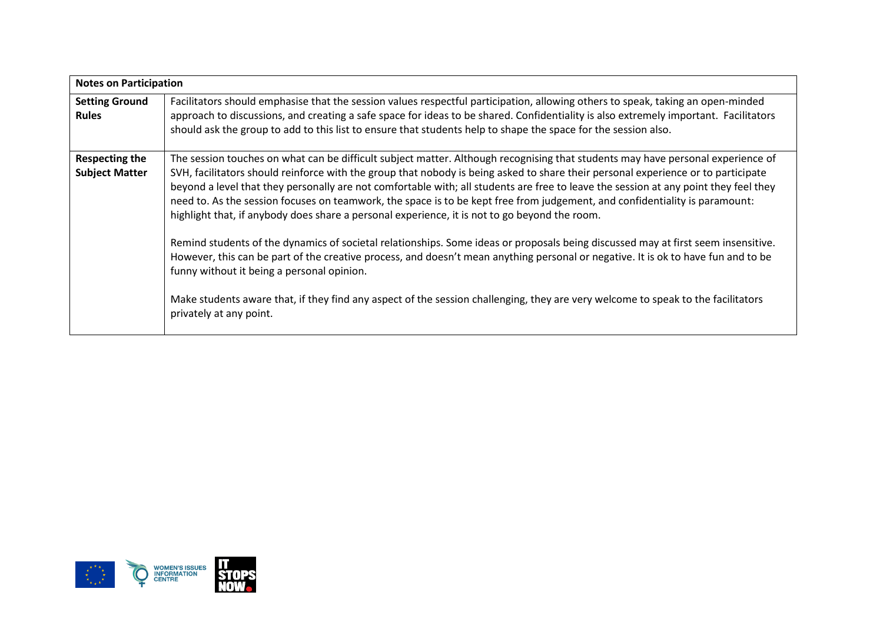| <b>Notes on Participation</b>                  |                                                                                                                                                                                                                                                                                                                                                                                                                                                                                                                                                                                                                                                                                                                                                                                                                                                                                                                                                                                                                                                                                                                                     |  |  |
|------------------------------------------------|-------------------------------------------------------------------------------------------------------------------------------------------------------------------------------------------------------------------------------------------------------------------------------------------------------------------------------------------------------------------------------------------------------------------------------------------------------------------------------------------------------------------------------------------------------------------------------------------------------------------------------------------------------------------------------------------------------------------------------------------------------------------------------------------------------------------------------------------------------------------------------------------------------------------------------------------------------------------------------------------------------------------------------------------------------------------------------------------------------------------------------------|--|--|
| <b>Setting Ground</b><br><b>Rules</b>          | Facilitators should emphasise that the session values respectful participation, allowing others to speak, taking an open-minded<br>approach to discussions, and creating a safe space for ideas to be shared. Confidentiality is also extremely important. Facilitators<br>should ask the group to add to this list to ensure that students help to shape the space for the session also.                                                                                                                                                                                                                                                                                                                                                                                                                                                                                                                                                                                                                                                                                                                                           |  |  |
| <b>Respecting the</b><br><b>Subject Matter</b> | The session touches on what can be difficult subject matter. Although recognising that students may have personal experience of<br>SVH, facilitators should reinforce with the group that nobody is being asked to share their personal experience or to participate<br>beyond a level that they personally are not comfortable with; all students are free to leave the session at any point they feel they<br>need to. As the session focuses on teamwork, the space is to be kept free from judgement, and confidentiality is paramount:<br>highlight that, if anybody does share a personal experience, it is not to go beyond the room.<br>Remind students of the dynamics of societal relationships. Some ideas or proposals being discussed may at first seem insensitive.<br>However, this can be part of the creative process, and doesn't mean anything personal or negative. It is ok to have fun and to be<br>funny without it being a personal opinion.<br>Make students aware that, if they find any aspect of the session challenging, they are very welcome to speak to the facilitators<br>privately at any point. |  |  |

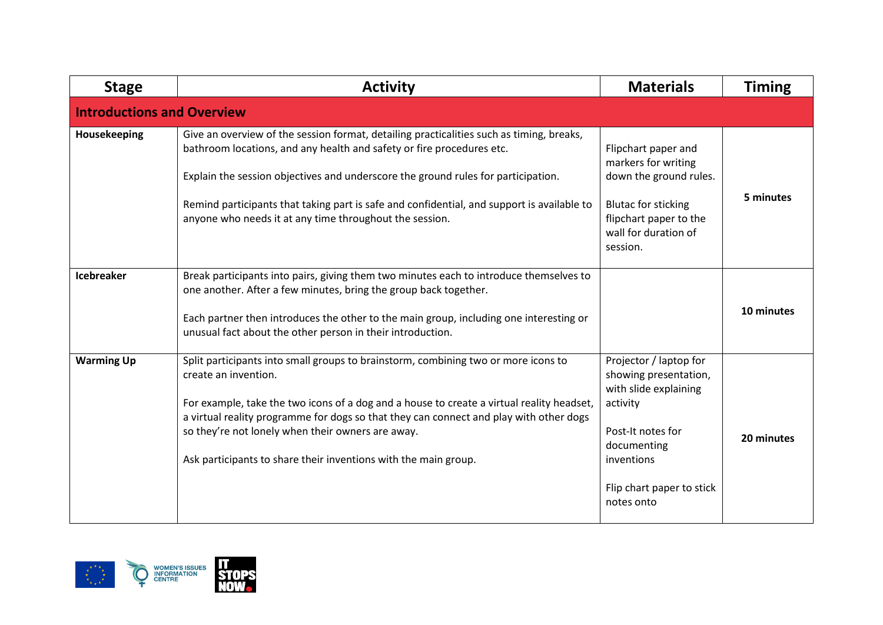| <b>Stage</b>                      | <b>Activity</b>                                                                                                                                                                                                                                                                                                                                                                                                           | <b>Materials</b>                                                                                                                                                                  | <b>Timing</b> |
|-----------------------------------|---------------------------------------------------------------------------------------------------------------------------------------------------------------------------------------------------------------------------------------------------------------------------------------------------------------------------------------------------------------------------------------------------------------------------|-----------------------------------------------------------------------------------------------------------------------------------------------------------------------------------|---------------|
| <b>Introductions and Overview</b> |                                                                                                                                                                                                                                                                                                                                                                                                                           |                                                                                                                                                                                   |               |
| Housekeeping                      | Give an overview of the session format, detailing practicalities such as timing, breaks,<br>bathroom locations, and any health and safety or fire procedures etc.<br>Explain the session objectives and underscore the ground rules for participation.<br>Remind participants that taking part is safe and confidential, and support is available to<br>anyone who needs it at any time throughout the session.           | Flipchart paper and<br>markers for writing<br>down the ground rules.<br><b>Blutac for sticking</b><br>flipchart paper to the<br>wall for duration of<br>session.                  | 5 minutes     |
| <b>Icebreaker</b>                 | Break participants into pairs, giving them two minutes each to introduce themselves to<br>one another. After a few minutes, bring the group back together.<br>Each partner then introduces the other to the main group, including one interesting or<br>unusual fact about the other person in their introduction.                                                                                                        |                                                                                                                                                                                   | 10 minutes    |
| <b>Warming Up</b>                 | Split participants into small groups to brainstorm, combining two or more icons to<br>create an invention.<br>For example, take the two icons of a dog and a house to create a virtual reality headset,<br>a virtual reality programme for dogs so that they can connect and play with other dogs<br>so they're not lonely when their owners are away.<br>Ask participants to share their inventions with the main group. | Projector / laptop for<br>showing presentation,<br>with slide explaining<br>activity<br>Post-It notes for<br>documenting<br>inventions<br>Flip chart paper to stick<br>notes onto | 20 minutes    |

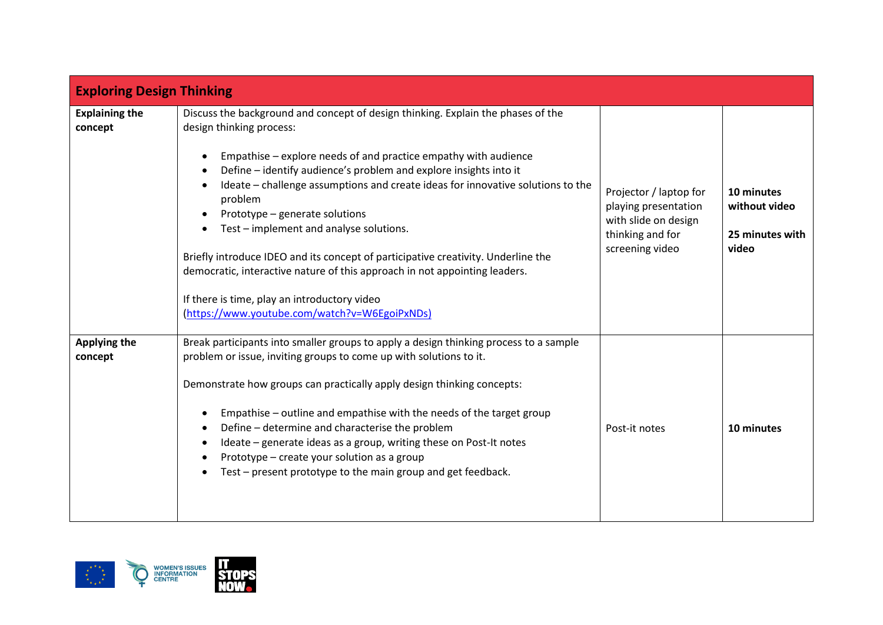| <b>Exploring Design Thinking</b> |                                                                                                                                                                                                                                                                                                                                                                                                                                                                                                                                                                                                                                                                                                                               |                                                                                                               |                                                         |
|----------------------------------|-------------------------------------------------------------------------------------------------------------------------------------------------------------------------------------------------------------------------------------------------------------------------------------------------------------------------------------------------------------------------------------------------------------------------------------------------------------------------------------------------------------------------------------------------------------------------------------------------------------------------------------------------------------------------------------------------------------------------------|---------------------------------------------------------------------------------------------------------------|---------------------------------------------------------|
| <b>Explaining the</b><br>concept | Discuss the background and concept of design thinking. Explain the phases of the<br>design thinking process:<br>Empathise - explore needs of and practice empathy with audience<br>$\bullet$<br>Define - identify audience's problem and explore insights into it<br>$\bullet$<br>Ideate - challenge assumptions and create ideas for innovative solutions to the<br>problem<br>Prototype - generate solutions<br>Test - implement and analyse solutions.<br>Briefly introduce IDEO and its concept of participative creativity. Underline the<br>democratic, interactive nature of this approach in not appointing leaders.<br>If there is time, play an introductory video<br>(https://www.youtube.com/watch?v=W6EgoiPxNDs) | Projector / laptop for<br>playing presentation<br>with slide on design<br>thinking and for<br>screening video | 10 minutes<br>without video<br>25 minutes with<br>video |
| <b>Applying the</b><br>concept   | Break participants into smaller groups to apply a design thinking process to a sample<br>problem or issue, inviting groups to come up with solutions to it.<br>Demonstrate how groups can practically apply design thinking concepts:<br>Empathise - outline and empathise with the needs of the target group<br>$\bullet$<br>Define - determine and characterise the problem<br>Ideate – generate ideas as a group, writing these on Post-It notes<br>$\bullet$<br>Prototype - create your solution as a group<br>Test - present prototype to the main group and get feedback.                                                                                                                                               | Post-it notes                                                                                                 | 10 minutes                                              |

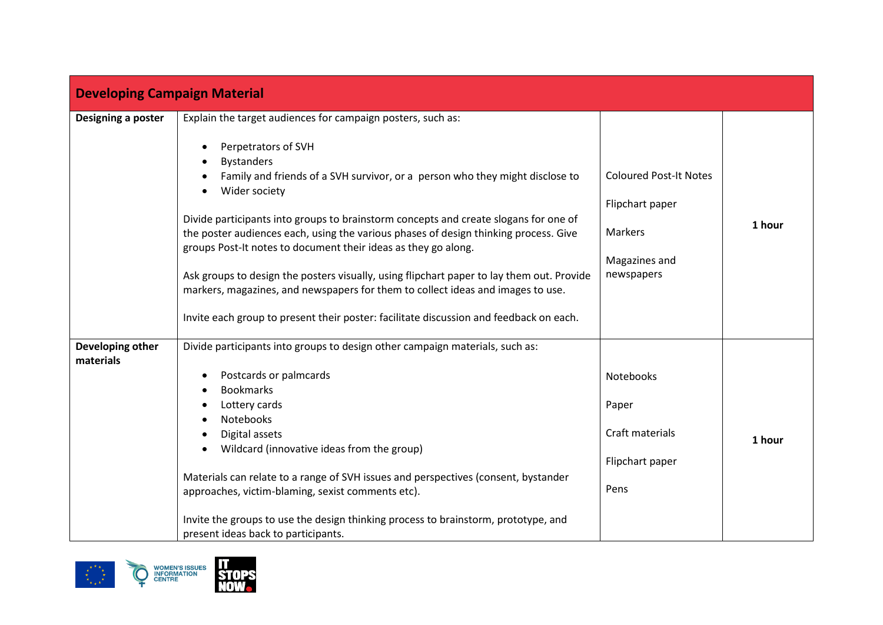| <b>Developing Campaign Material</b> |                                                                                                                                                                                                                                                                                                                                                                                                                                                                                                                                                                                                                                                                                                                                      |                                                                                                   |        |
|-------------------------------------|--------------------------------------------------------------------------------------------------------------------------------------------------------------------------------------------------------------------------------------------------------------------------------------------------------------------------------------------------------------------------------------------------------------------------------------------------------------------------------------------------------------------------------------------------------------------------------------------------------------------------------------------------------------------------------------------------------------------------------------|---------------------------------------------------------------------------------------------------|--------|
| Designing a poster                  | Explain the target audiences for campaign posters, such as:<br>Perpetrators of SVH<br><b>Bystanders</b><br>Family and friends of a SVH survivor, or a person who they might disclose to<br>Wider society<br>Divide participants into groups to brainstorm concepts and create slogans for one of<br>the poster audiences each, using the various phases of design thinking process. Give<br>groups Post-It notes to document their ideas as they go along.<br>Ask groups to design the posters visually, using flipchart paper to lay them out. Provide<br>markers, magazines, and newspapers for them to collect ideas and images to use.<br>Invite each group to present their poster: facilitate discussion and feedback on each. | <b>Coloured Post-It Notes</b><br>Flipchart paper<br><b>Markers</b><br>Magazines and<br>newspapers | 1 hour |
| Developing other<br>materials       | Divide participants into groups to design other campaign materials, such as:<br>Postcards or palmcards<br><b>Bookmarks</b><br>Lottery cards<br>Notebooks<br>Digital assets<br>Wildcard (innovative ideas from the group)<br>Materials can relate to a range of SVH issues and perspectives (consent, bystander<br>approaches, victim-blaming, sexist comments etc).<br>Invite the groups to use the design thinking process to brainstorm, prototype, and<br>present ideas back to participants.                                                                                                                                                                                                                                     | Notebooks<br>Paper<br>Craft materials<br>Flipchart paper<br>Pens                                  | 1 hour |

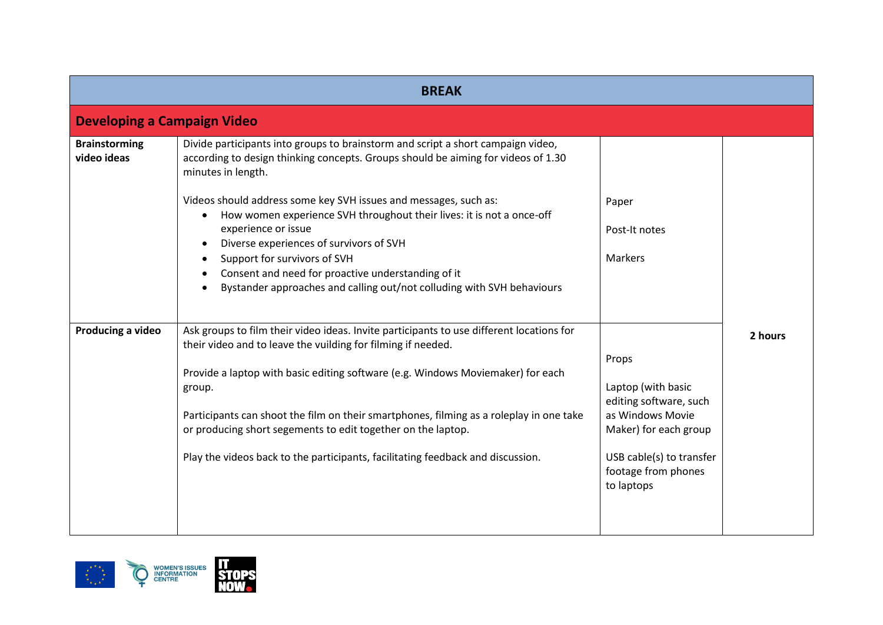| <b>BREAK</b>                        |                                                                                                                                                                                                                                                                                                                                                                                                                                                                                                                                                                                                                                             |                                                                                                                                                                     |         |
|-------------------------------------|---------------------------------------------------------------------------------------------------------------------------------------------------------------------------------------------------------------------------------------------------------------------------------------------------------------------------------------------------------------------------------------------------------------------------------------------------------------------------------------------------------------------------------------------------------------------------------------------------------------------------------------------|---------------------------------------------------------------------------------------------------------------------------------------------------------------------|---------|
| <b>Developing a Campaign Video</b>  |                                                                                                                                                                                                                                                                                                                                                                                                                                                                                                                                                                                                                                             |                                                                                                                                                                     |         |
| <b>Brainstorming</b><br>video ideas | Divide participants into groups to brainstorm and script a short campaign video,<br>according to design thinking concepts. Groups should be aiming for videos of 1.30<br>minutes in length.<br>Videos should address some key SVH issues and messages, such as:<br>How women experience SVH throughout their lives: it is not a once-off<br>$\bullet$<br>experience or issue<br>Diverse experiences of survivors of SVH<br>$\bullet$<br>Support for survivors of SVH<br>$\bullet$<br>Consent and need for proactive understanding of it<br>$\bullet$<br>Bystander approaches and calling out/not colluding with SVH behaviours<br>$\bullet$ | Paper<br>Post-It notes<br><b>Markers</b>                                                                                                                            |         |
| Producing a video                   | Ask groups to film their video ideas. Invite participants to use different locations for<br>their video and to leave the vuilding for filming if needed.<br>Provide a laptop with basic editing software (e.g. Windows Moviemaker) for each<br>group.<br>Participants can shoot the film on their smartphones, filming as a roleplay in one take<br>or producing short segements to edit together on the laptop.<br>Play the videos back to the participants, facilitating feedback and discussion.                                                                                                                                         | Props<br>Laptop (with basic<br>editing software, such<br>as Windows Movie<br>Maker) for each group<br>USB cable(s) to transfer<br>footage from phones<br>to laptops | 2 hours |